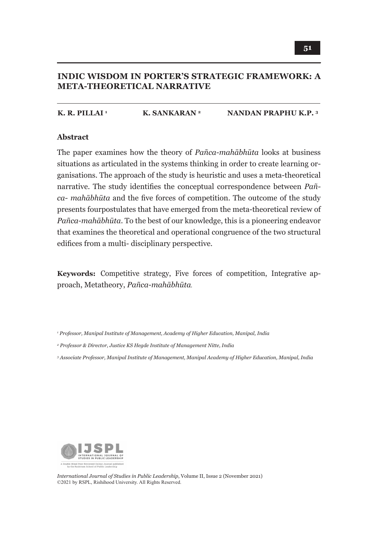## **INDIC WISDOM IN PORTER'S STRATEGIC FRAMEWORK: A META-THEORETICAL NARRATIVE**

#### **K. R. PILLAI 1** K. SANKARAN<sup>2</sup> NANDAN PRAPHU K.P.<sup>3</sup>

#### **Abstract**

The paper examines how the theory of *Pañca-mahābhūta* looks at business situations as articulated in the systems thinking in order to create learning organisations. The approach of the study is heuristic and uses a meta-theoretical narrative. The study identifies the conceptual correspondence between *Pañca- mahābhūta* and the five forces of competition. The outcome of the study presents four postulates that have emerged from the meta-theoretical review of *Pañca-mahābhūta*. To the best of our knowledge, this is a pioneering endeavor that examines the theoretical and operational congruence of the two structural edifices from a multi- disciplinary perspective.

**Keywords:** Competitive strategy, Five forces of competition, Integrative approach, Metatheory, *Pañca-mahābhūta.*

*1 Professor, Manipal Institute of Management, Academy of Higher Education, Manipal, India*

*2 Professor & Director, Justice KS Hegde Institute of Management Nitte, India*

*3 Associate Professor, Manipal Institute of Management, Manipal Academy of Higher Education, Manipal, India*



*International Journal of Studies in Public Leadership*, Volume II, Issue 2 (November 2021) ©2021 by RSPL, Rishihood University. All Rights Reserved.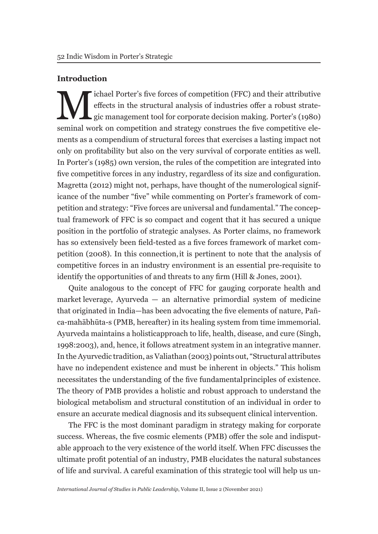### **Introduction**

If the structural analysis of industries offer a robust strategic management tool for corporate decision making. Porter's (1980)<br>seminal work on competition and strategy construes the five competitive eleeffects in the structural analysis of industries offer a robust strategic management tool for corporate decision making. Porter's (1980) seminal work on competition and strategy construes the five competitive elements as a compendium of structural forces that exercises a lasting impact not only on profitability but also on the very survival of corporate entities as well. In Porter's (1985) own version, the rules of the competition are integrated into five competitive forces in any industry, regardless of its size and configuration. Magretta (2012) might not, perhaps, have thought of the numerological significance of the number "five" while commenting on Porter's framework of competition and strategy: "Five forces are universal and fundamental." The conceptual framework of FFC is so compact and cogent that it has secured a unique position in the portfolio of strategic analyses. As Porter claims, no framework has so extensively been field-tested as a five forces framework of market competition (2008). In this connection, it is pertinent to note that the analysis of competitive forces in an industry environment is an essential pre-requisite to identify the opportunities of and threats to any firm (Hill & Jones, 2001).

Quite analogous to the concept of FFC for gauging corporate health and market leverage, Ayurveda  $-$  an alternative primordial system of medicine that originated in India—has been advocating the five elements of nature, Pañca-mahābhūta-s (PMB, hereafter) in its healing system from time immemorial. Ayurveda maintains a holistic approach to life, health, disease, and cure (Singh, 1998:2003), and, hence, it follows a treatment system in an integrative manner. In the Ayurvedic tradition, as Valiathan (2003) points out, "Structural attributes have no independent existence and must be inherent in objects." This holism necessitates the understanding of the five fundamental principles of existence. The theory of PMB provides a holistic and robust approach to understand the biological metabolism and structural constitution of an individual in order to ensure an accurate medical diagnosis and its subsequent clinical intervention.

The FFC is the most dominant paradigm in strategy making for corporate success. Whereas, the five cosmic elements (PMB) offer the sole and indisputable approach to the very existence of the world itself. When FFC discusses the ultimate profit potential of an industry, PMB elucidates the natural substances of life and survival. A careful examination of this strategic tool will help us un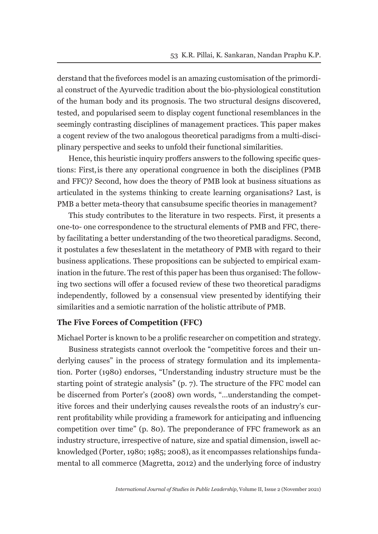derstand that the five forces model is an amazing customisation of the primordial construct of the Ayurvedic tradition about the bio-physiological constitution of the human body and its prognosis. The two structural designs discovered, tested, and popularised seem to display cogent functional resemblances in the seemingly contrasting disciplines of management practices. This paper makes a cogent review of the two analogous theoretical paradigms from a multi-disciplinary perspective and seeks to unfold their functional similarities.

Hence, this heuristic inquiry proffers answers to the following specific questions: First, is there any operational congruence in both the disciplines (PMB and FFC)? Second, how does the theory of PMB look at business situations as articulated in the systems thinking to create learning organisations? Last, is PMB a better meta-theory that can subsume specific theories in management?

This study contributes to the literature in two respects. First, it presents a one-to- one correspondence to the structural elements of PMB and FFC, thereby facilitating a better understanding of the two theoretical paradigms. Second, it postulates a few theses latent in the metatheory of PMB with regard to their business applications. These propositions can be subjected to empirical examination in the future. The rest of this paper has been thus organised: The following two sections will offer a focused review of these two theoretical paradigms independently, followed by a consensual view presented by identifying their similarities and a semiotic narration of the holistic attribute of PMB.

#### **The Five Forces of Competition (FFC)**

Michael Porter is known to be a prolific researcher on competition and strategy.

Business strategists cannot overlook the "competitive forces and their underlying causes" in the process of strategy formulation and its implementation. Porter (1980) endorses, "Understanding industry structure must be the starting point of strategic analysis" (p. 7). The structure of the FFC model can be discerned from Porter's (2008) own words, "…understanding the competitive forces and their underlying causes reveals the roots of an industry's current profitability while providing a framework for anticipating and influencing competition over time" (p. 80). The preponderance of FFC framework as an industry structure, irrespective of nature, size and spatial dimension, is well acknowledged (Porter, 1980; 1985; 2008), as it encompasses relationships fundamental to all commerce (Magretta, 2012) and the underlying force of industry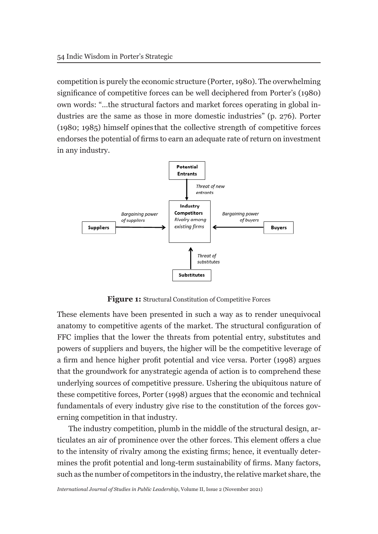competition is purely the economic structure (Porter, 1980). The overwhelming significance of competitive forces can be well deciphered from Porter's (1980) own words: "…the structural factors and market forces operating in global industries are the same as those in more domestic industries" (p. 276). Porter (1980; 1985) himself opines that the collective strength of competitive forces endorses the potential of firms to earn an adequate rate of return on investment in any industry.



**Figure 1:** Structural Constitution of Competitive Forces

These elements have been presented in such a way as to render unequivocal anatomy to competitive agents of the market. The structural configuration of FFC implies that the lower the threats from potential entry, substitutes and powers of suppliers and buyers, the higher will be the competitive leverage of a firm and hence higher profit potential and vice versa. Porter (1998) argues that the groundwork for any strategic agenda of action is to comprehend these underlying sources of competitive pressure. Ushering the ubiquitous nature of these competitive forces, Porter (1998) argues that the economic and technical fundamentals of every industry give rise to the constitution of the forces governing competition in that industry.

The industry competition, plumb in the middle of the structural design, articulates an air of prominence over the other forces. This element offers a clue to the intensity of rivalry among the existing firms; hence, it eventually determines the profit potential and long-term sustainability of firms. Many factors, such as the number of competitors in the industry, the relative market share, the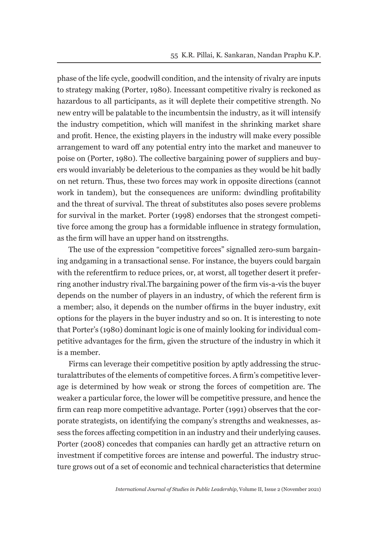phase of the life cycle, goodwill condition, and the intensity of rivalry are inputs to strategy making (Porter, 1980). Incessant competitive rivalry is reckoned as hazardous to all participants, as it will deplete their competitive strength. No new entry will be palatable to the incumbents in the industry, as it will intensify the industry competition, which will manifest in the shrinking market share and profit. Hence, the existing players in the industry will make every possible arrangement to ward off any potential entry into the market and maneuver to poise on (Porter, 1980). The collective bargaining power of suppliers and buyers would invariably be deleterious to the companies as they would be hit badly on net return. Thus, these two forces may work in opposite directions (cannot work in tandem), but the consequences are uniform: dwindling profitability and the threat of survival. The threat of substitutes also poses severe problems for survival in the market. Porter (1998) endorses that the strongest competitive force among the group has a formidable influence in strategy formulation, as the firm will have an upper hand on its strengths.

The use of the expression "competitive forces" signalled zero-sum bargaining and gaming in a transactional sense. For instance, the buyers could bargain with the referent firm to reduce prices, or, at worst, all together desert it preferring another industry rival. The bargaining power of the firm vis-a-vis the buyer depends on the number of players in an industry, of which the referent firm is a member; also, it depends on the number of firms in the buyer industry, exit options for the players in the buyer industry and so on. It is interesting to note that Porter's (1980) dominant logic is one of mainly looking for individual competitive advantages for the firm, given the structure of the industry in which it is a member.

Firms can leverage their competitive position by aptly addressing the structural attributes of the elements of competitive forces. A firm's competitive leverage is determined by how weak or strong the forces of competition are. The weaker a particular force, the lower will be competitive pressure, and hence the firm can reap more competitive advantage. Porter (1991) observes that the corporate strategists, on identifying the company's strengths and weaknesses, assess the forces affecting competition in an industry and their underlying causes. Porter (2008) concedes that companies can hardly get an attractive return on investment if competitive forces are intense and powerful. The industry structure grows out of a set of economic and technical characteristics that determine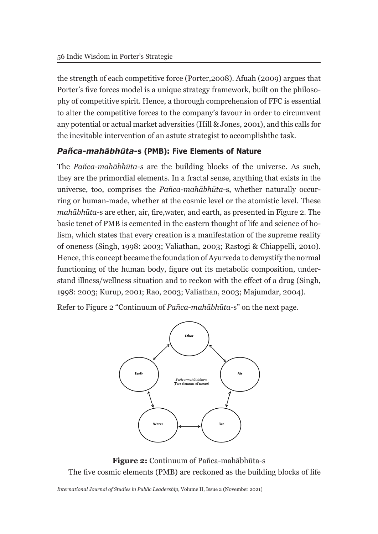the strength of each competitive force (Porter, 2008). Afuah (2009) argues that Porter's five forces model is a unique strategy framework, built on the philosophy of competitive spirit. Hence, a thorough comprehension of FFC is essential to alter the competitive forces to the company's favour in order to circumvent any potential or actual market adversities (Hill & Jones, 2001), and this calls for the inevitable intervention of an astute strategist to accomplishthe task.

### *Pañca-mahābhūta-***s (PMB): Five Elements of Nature**

The *Pañca-mahābhūta-s* are the building blocks of the universe. As such, they are the primordial elements. In a fractal sense, anything that exists in the universe, too, comprises the *Pañca-mahābhūta-*s, whether naturally occurring or human-made, whether at the cosmic level or the atomistic level. These *mahābhūta-*s are ether, air, fire, water, and earth, as presented in Figure 2. The basic tenet of PMB is cemented in the eastern thought of life and science of holism, which states that every creation is a manifestation of the supreme reality of oneness (Singh, 1998: 2003; Valiathan, 2003; Rastogi & Chiappelli, 2010). Hence, this concept became the foundation of Ayurveda to demystify the normal functioning of the human body, figure out its metabolic composition, understand illness/wellness situation and to reckon with the effect of a drug (Singh, 1998: 2003; Kurup, 2001; Rao, 2003; Valiathan, 2003; Majumdar, 2004).

Refer to Figure 2 "Continuum of *Pañca-mahābhūta-*s" on the next page.



**Figure 2:** Continuum of Pañca-mahābhūta-s The five cosmic elements (PMB) are reckoned as the building blocks of life

*International Journal of Studies in Public Leadership*, Volume II, Issue 2 (November 2021)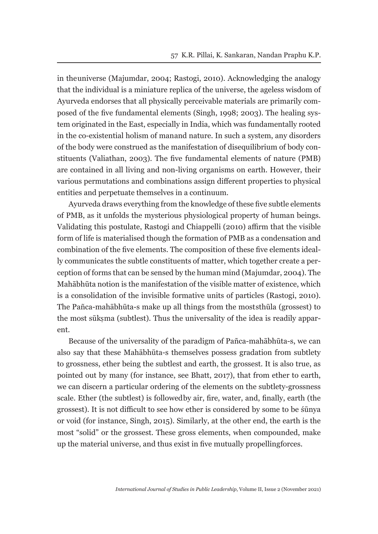in the universe (Majumdar, 2004; Rastogi, 2010). Acknowledging the analogy that the individual is a miniature replica of the universe, the ageless wisdom of Ayurveda endorses that all physically perceivable materials are primarily composed of the five fundamental elements (Singh, 1998; 2003). The healing system originated in the East, especially in India, which was fundamentally rooted in the co-existential holism of man and nature. In such a system, any disorders of the body were construed as the manifestation of disequilibrium of body constituents (Valiathan, 2003). The five fundamental elements of nature (PMB) are contained in all living and non-living organisms on earth. However, their various permutations and combinations assign different properties to physical entities and perpetuate themselves in a continuum.

Ayurveda draws everything from the knowledge of these five subtle elements of PMB, as it unfolds the mysterious physiological property of human beings. Validating this postulate, Rastogi and Chiappelli (2010) affirm that the visible form of life is materialised though the formation of PMB as a condensation and combination of the five elements. The composition of these five elements ideally communicates the subtle constituents of matter, which together create a perception of forms that can be sensed by the human mind (Majumdar, 2004). The Mahābhūta notion is the manifestation of the visible matter of existence, which is a consolidation of the invisible formative units of particles (Rastogi, 2010). The Pañca-mahābhūta-s make up all things from the most sthūla (grossest) to the most sūksma (subtlest). Thus the universality of the idea is readily apparent.

Because of the universality of the paradigm of Pañca-mahābhūta-s, we can also say that these Mahābhūta-s themselves possess gradation from subtlety to grossness, ether being the subtlest and earth, the grossest. It is also true, as pointed out by many (for instance, see Bhatt, 2017), that from ether to earth, we can discern a particular ordering of the elements on the subtlety-grossness scale. Ether (the subtlest) is followed by air, fire, water, and, finally, earth (the grossest). It is not difficult to see how ether is considered by some to be śūnya or void (for instance, Singh, 2015). Similarly, at the other end, the earth is the most "solid" or the grossest. These gross elements, when compounded, make up the material universe, and thus exist in five mutually propelling forces.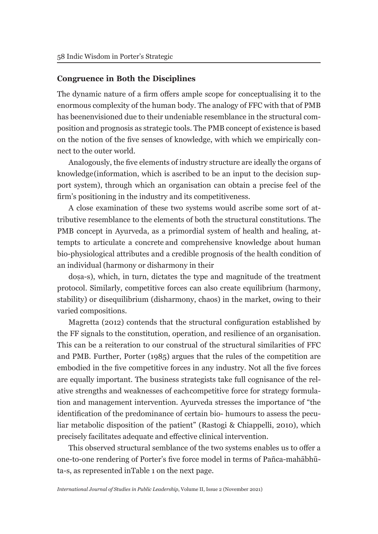#### **Congruence in Both the Disciplines**

The dynamic nature of a firm offers ample scope for conceptualising it to the enormous complexity of the human body. The analogy of FFC with that of PMB has been envisioned due to their undeniable resemblance in the structural composition and prognosis as strategic tools. The PMB concept of existence is based on the notion of the five senses of knowledge, with which we empirically connect to the outer world.

Analogously, the five elements of industry structure are ideally the organs of knowledge (information, which is ascribed to be an input to the decision support system), through which an organisation can obtain a precise feel of the firm's positioning in the industry and its competitiveness.

A close examination of these two systems would ascribe some sort of attributive resemblance to the elements of both the structural constitutions. The PMB concept in Ayurveda, as a primordial system of health and healing, attempts to articulate a concrete and comprehensive knowledge about human bio-physiological attributes and a credible prognosis of the health condition of an individual (harmony or disharmony in their

doṣa-s), which, in turn, dictates the type and magnitude of the treatment protocol. Similarly, competitive forces can also create equilibrium (harmony, stability) or disequilibrium (disharmony, chaos) in the market, owing to their varied compositions.

Magretta (2012) contends that the structural configuration established by the FF signals to the constitution, operation, and resilience of an organisation. This can be a reiteration to our construal of the structural similarities of FFC and PMB. Further, Porter (1985) argues that the rules of the competition are embodied in the five competitive forces in any industry. Not all the five forces are equally important. The business strategists take full cognisance of the relative strengths and weaknesses of each competitive force for strategy formulation and management intervention. Ayurveda stresses the importance of "the identification of the predominance of certain bio- humours to assess the peculiar metabolic disposition of the patient" (Rastogi & Chiappelli, 2010), which precisely facilitates adequate and effective clinical intervention.

This observed structural semblance of the two systems enables us to offer a one-to-one rendering of Porter's five force model in terms of Pañca-mahābhūta-s, as represented in Table 1 on the next page.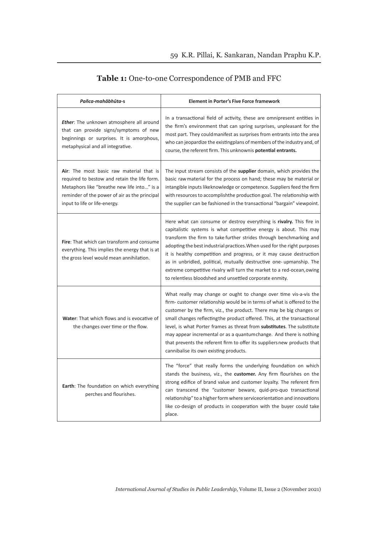| Pañca-mahābhūta-s                                                                                                                                                                                                                 | <b>Element in Porter's Five Force framework</b>                                                                                                                                                                                                                                                                                                                                                                                                                                                                                                                                  |  |
|-----------------------------------------------------------------------------------------------------------------------------------------------------------------------------------------------------------------------------------|----------------------------------------------------------------------------------------------------------------------------------------------------------------------------------------------------------------------------------------------------------------------------------------------------------------------------------------------------------------------------------------------------------------------------------------------------------------------------------------------------------------------------------------------------------------------------------|--|
| Ether: The unknown atmosphere all around<br>that can provide signs/symptoms of new<br>beginnings or surprises. It is amorphous,<br>metaphysical and all integrative.                                                              | In a transactional field of activity, these are omnipresent entities in<br>the firm's environment that can spring surprises, unpleasant for the<br>most part. They could manifest as surprises from entrants into the area<br>who can jeopardize the existingplans of members of the industry and, of<br>course, the referent firm. This unknownis <b>potential entrants.</b>                                                                                                                                                                                                    |  |
| <b>Air</b> : The most basic raw material that is<br>required to bestow and retain the life form.<br>Metaphors like "breathe new life into" is a<br>reminder of the power of air as the principal<br>input to life or life-energy. | The input stream consists of the <b>supplier</b> domain, which provides the<br>basic raw material for the process on hand; these may be material or<br>intangible inputs like knowledge or competence. Suppliers feed the firm<br>with resources to accomplishthe production goal. The relationship with<br>the supplier can be fashioned in the transactional "bargain" viewpoint.                                                                                                                                                                                              |  |
| Fire: That which can transform and consume<br>everything. This implies the energy that is at<br>the gross level would mean annihilation.                                                                                          | Here what can consume or destroy everything is rivalry. This fire in<br>capitalistic systems is what competitive energy is about. This may<br>transform the firm to take further strides through benchmarking and<br>adopting the best industrial practices. When used for the right purposes<br>it is healthy competition and progress, or it may cause destruction<br>as in unbridled, political, mutually destructive one-upmanship. The<br>extreme competitive rivalry will turn the market to a red-ocean, owing<br>to relentless bloodshed and unsettled corporate enmity. |  |
| Water: That which flows and is evocative of<br>the changes over time or the flow.                                                                                                                                                 | What really may change or ought to change over time vis-a-vis the<br>firm-customer relationship would be in terms of what is offered to the<br>customer by the firm, viz., the product. There may be big changes or<br>small changes reflecting the product offered. This, at the transactional<br>level, is what Porter frames as threat from <b>substitutes</b> . The substitute<br>may appear incremental or as a quantum change. And there is nothing<br>that prevents the referent firm to offer its suppliers new products that<br>cannibalise its own existing products.  |  |
| Earth: The foundation on which everything<br>perches and flourishes.                                                                                                                                                              | The "force" that really forms the underlying foundation on which<br>stands the business, viz., the customer. Any firm flourishes on the<br>strong edifice of brand value and customer loyalty. The referent firm<br>can transcend the "customer beware, quid-pro-quo transactional<br>relationship" to a higher form where service orientation and innovations<br>like co-design of products in cooperation with the buyer could take<br>place.                                                                                                                                  |  |

# **Table 1:** One-to-one Correspondence of PMB and FFC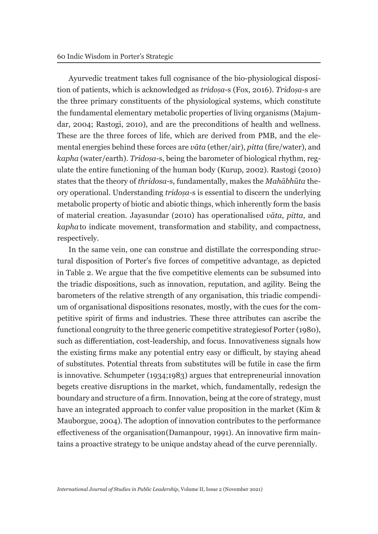Ayurvedic treatment takes full cognisance of the bio-physiological disposition of patients, which is acknowledged as *tridoṣa-*s (Fox, 2016). *Tridoṣa-*s are the three primary constituents of the physiological systems, which constitute the fundamental elementary metabolic properties of living organisms (Majumdar, 2004; Rastogi, 2010), and are the preconditions of health and wellness. These are the three forces of life, which are derived from PMB, and the elemental energies behind these forces are *vāta* (ether/air), *pitta* (fire/water), and *kapha* (water/earth). *Tridoṣa-*s, being the barometer of biological rhythm, regulate the entire functioning of the human body (Kurup, 2002). Rastogi (2010) states that the theory of *thridosa-*s, fundamentally, makes the *Mahābhūta* theory operational. Understanding *tridoṣa-*s is essential to discern the underlying metabolic property of biotic and abiotic things, which inherently form the basis of material creation. Jayasundar (2010) has operationalised *vāta*, *pitta*, and *kapha* to indicate movement, transformation and stability, and compactness, respectively.

In the same vein, one can construe and distillate the corresponding structural disposition of Porter's five forces of competitive advantage, as depicted in Table 2. We argue that the five competitive elements can be subsumed into the triadic dispositions, such as innovation, reputation, and agility. Being the barometers of the relative strength of any organisation, this triadic compendium of organisational dispositions resonates, mostly, with the cues for the competitive spirit of firms and industries. These three attributes can ascribe the functional congruity to the three generic competitive strategies of Porter (1980), such as differentiation, cost-leadership, and focus. Innovativeness signals how the existing firms make any potential entry easy or difficult, by staying ahead of substitutes. Potential threats from substitutes will be futile in case the firm is innovative. Schumpeter (1934;1983) argues that entrepreneurial innovation begets creative disruptions in the market, which, fundamentally, redesign the boundary and structure of a firm. Innovation, being at the core of strategy, must have an integrated approach to confer value proposition in the market (Kim & Mauborgue, 2004). The adoption of innovation contributes to the performance effectiveness of the organisation (Damanpour, 1991). An innovative firm maintains a proactive strategy to be unique and stay ahead of the curve perennially.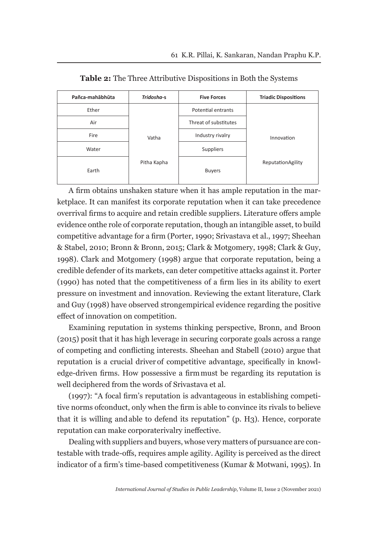| Pañca-mahābhūta | Tridosha-s  | <b>Five Forces</b>    | <b>Triadic Dispositions</b> |
|-----------------|-------------|-----------------------|-----------------------------|
| Ether           |             | Potential entrants    |                             |
| Air             |             | Threat of substitutes |                             |
| Fire            | Vatha       | Industry rivalry      | Innovation                  |
| Water           |             | Suppliers             |                             |
| Earth           | Pitha Kapha | <b>Buyers</b>         | ReputationAgility           |

**Table 2:** The Three Attributive Dispositions in Both the Systems

A firm obtains unshaken stature when it has ample reputation in the marketplace. It can manifest its corporate reputation when it can take precedence over rival firms to acquire and retain credible suppliers. Literature offers ample evidence on the role of corporate reputation, though an intangible asset, to build competitive advantage for a firm (Porter, 1990; Srivastava et al., 1997; Sheehan & Stabel, 2010; Bronn & Bronn, 2015; Clark & Motgomery, 1998; Clark & Guy, 1998). Clark and Motgomery (1998) argue that corporate reputation, being a credible defender of its markets, can deter competitive attacks against it. Porter (1990) has noted that the competitiveness of a firm lies in its ability to exert pressure on investment and innovation. Reviewing the extant literature, Clark and Guy (1998) have observed strong empirical evidence regarding the positive effect of innovation on competition.

Examining reputation in systems thinking perspective, Bronn, and Broon (2015) posit that it has high leverage in securing corporate goals across a range of competing and conflicting interests. Sheehan and Stabell (2010) argue that reputation is a crucial driver of competitive advantage, specifically in knowledge-driven firms. How possessive a firm must be regarding its reputation is well deciphered from the words of Srivastava et al.

(1997): "A focal firm's reputation is advantageous in establishing competitive norms of conduct, only when the firm is able to convince its rivals to believe that it is willing and able to defend its reputation" (p. H3). Hence, corporate reputation can make corporate rivalry ineffective.

Dealing with suppliers and buyers, whose very matters of pursuance are contestable with trade-offs, requires ample agility. Agility is perceived as the direct indicator of a firm's time-based competitiveness (Kumar & Motwani, 1995). In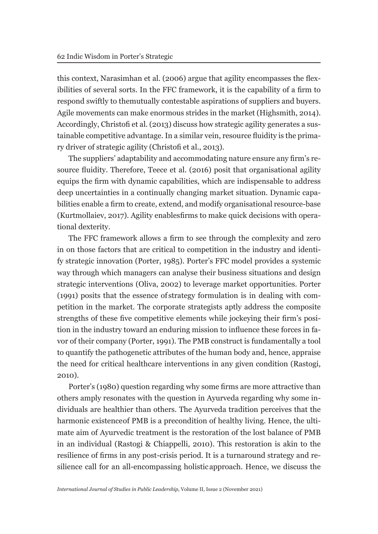this context, Narasimhan et al. (2006) argue that agility encompasses the flexibilities of several sorts. In the FFC framework, it is the capability of a firm to respond swiftly to the mutually contestable aspirations of suppliers and buyers. Agile movements can make enormous strides in the market (Highsmith, 2014). Accordingly, Christofi et al. (2013) discuss how strategic agility generates a sustainable competitive advantage. In a similar vein, resource fluidity is the primary driver of strategic agility (Christofi et al., 2013).

The suppliers' adaptability and accommodating nature ensure any firm's resource fluidity. Therefore, Teece et al. (2016) posit that organisational agility equips the firm with dynamic capabilities, which are indispensable to address deep uncertainties in a continually changing market situation. Dynamic capabilities enable a firm to create, extend, and modify organisational resource-base (Kurtmollaiev, 2017). Agility enables firms to make quick decisions with operational dexterity.

The FFC framework allows a firm to see through the complexity and zero in on those factors that are critical to competition in the industry and identify strategic innovation (Porter, 1985). Porter's FFC model provides a systemic way through which managers can analyse their business situations and design strategic interventions (Oliva, 2002) to leverage market opportunities. Porter (1991) posits that the essence of strategy formulation is in dealing with competition in the market. The corporate strategists aptly address the composite strengths of these five competitive elements while jockeying their firm's position in the industry toward an enduring mission to influence these forces in favor of their company (Porter, 1991). The PMB construct is fundamentally a tool to quantify the pathogenetic attributes of the human body and, hence, appraise the need for critical healthcare interventions in any given condition (Rastogi, 2010).

Porter's (1980) question regarding why some firms are more attractive than others amply resonates with the question in Ayurveda regarding why some individuals are healthier than others. The Ayurveda tradition perceives that the harmonic existence of PMB is a precondition of healthy living. Hence, the ultimate aim of Ayurvedic treatment is the restoration of the lost balance of PMB in an individual (Rastogi & Chiappelli, 2010). This restoration is akin to the resilience of firms in any post-crisis period. It is a turnaround strategy and resilience call for an all-encompassing holistic approach. Hence, we discuss the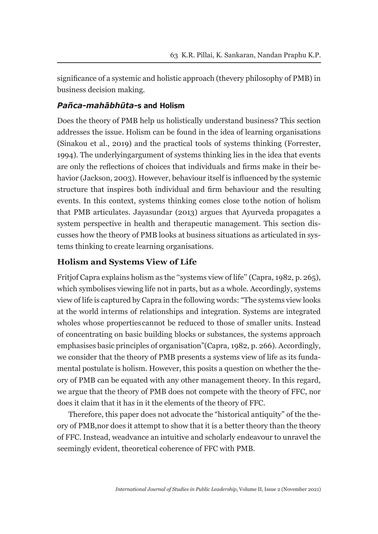significance of a systemic and holistic approach (the very philosophy of PMB) in business decision making.

### *Pañca-mahābhūta-***s and Holism**

Does the theory of PMB help us holistically understand business? This section addresses the issue. Holism can be found in the idea of learning organisations (Sinakou et al., 2019) and the practical tools of systems thinking (Forrester, 1994). The underlying argument of systems thinking lies in the idea that events are only the reflections of choices that individuals and firms make in their behavior (Jackson, 2003). However, behaviour itself is influenced by the systemic structure that inspires both individual and firm behaviour and the resulting events. In this context, systems thinking comes close to the notion of holism that PMB articulates. Jayasundar (2013) argues that Ayurveda propagates a system perspective in health and therapeutic management. This section discusses how the theory of PMB looks at business situations as articulated in systems thinking to create learning organisations.

### **Holism and Systems View of Life**

Fritjof Capra explains holism as the "systems view of life" (Capra, 1982, p. 265), which symbolises viewing life not in parts, but as a whole. Accordingly, systems view of life is captured by Capra in the following words: "The systems view looks at the world in terms of relationships and integration. Systems are integrated wholes whose properties cannot be reduced to those of smaller units. Instead of concentrating on basic building blocks or substances, the systems approach emphasises basic principles of organisation" (Capra, 1982, p. 266). Accordingly, we consider that the theory of PMB presents a systems view of life as its fundamental postulate is holism. However, this posits a question on whether the theory of PMB can be equated with any other management theory. In this regard, we argue that the theory of PMB does not compete with the theory of FFC, nor does it claim that it has in it the elements of the theory of FFC.

Therefore, this paper does not advocate the "historical antiquity" of the theory of PMB, nor does it attempt to show that it is a better theory than the theory of FFC. Instead, we advance an intuitive and scholarly endeavour to unravel the seemingly evident, theoretical coherence of FFC with PMB.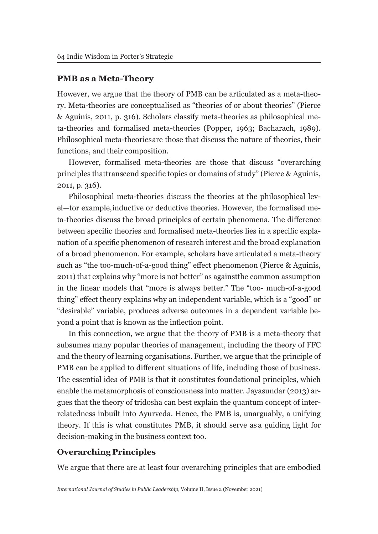#### **PMB as a Meta-Theory**

However, we argue that the theory of PMB can be articulated as a meta-theory. Meta-theories are conceptualised as "theories of or about theories" (Pierce & Aguinis, 2011, p. 316). Scholars classify meta-theories as philosophical meta-theories and formalised meta-theories (Popper, 1963; Bacharach, 1989). Philosophical meta-theories are those that discuss the nature of theories, their functions, and their composition.

However, formalised meta-theories are those that discuss "overarching principles that transcend specific topics or domains of study" (Pierce & Aguinis, 2011, p. 316).

Philosophical meta-theories discuss the theories at the philosophical level—for example, inductive or deductive theories. However, the formalised meta-theories discuss the broad principles of certain phenomena. The difference between specific theories and formalised meta-theories lies in a specific explanation of a specific phenomenon of research interest and the broad explanation of a broad phenomenon. For example, scholars have articulated a meta-theory such as "the too-much-of-a-good thing" effect phenomenon (Pierce & Aguinis, 2011) that explains why "more is not better" as against the common assumption in the linear models that "more is always better." The "too- much-of-a-good thing" effect theory explains why an independent variable, which is a "good" or "desirable" variable, produces adverse outcomes in a dependent variable beyond a point that is known as the inflection point.

In this connection, we argue that the theory of PMB is a meta-theory that subsumes many popular theories of management, including the theory of FFC and the theory of learning organisations. Further, we argue that the principle of PMB can be applied to different situations of life, including those of business. The essential idea of PMB is that it constitutes foundational principles, which enable the metamorphosis of consciousness into matter. Jayasundar (2013) argues that the theory of tridosha can best explain the quantum concept of interrelatedness inbuilt into Ayurveda. Hence, the PMB is, unarguably, a unifying theory. If this is what constitutes PMB, it should serve as a guiding light for decision-making in the business context too.

#### **Overarching Principles**

We argue that there are at least four overarching principles that are embodied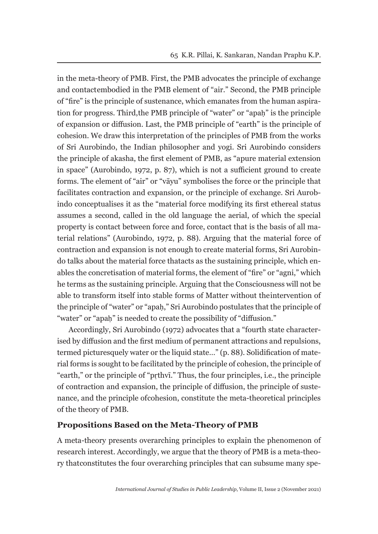in the meta-theory of PMB. First, the PMB advocates the principle of exchange and contactembodied in the PMB element of "air." Second, the PMB principle of "fire" is the principle of sustenance, which emanates from the human aspiration for progress. Third, the PMB principle of "water" or "apaḥ" is the principle of expansion or diffusion. Last, the PMB principle of "earth" is the principle of cohesion. We draw this interpretation of the principles of PMB from the works of Sri Aurobindo, the Indian philosopher and yogi. Sri Aurobindo considers the principle of akasha, the first element of PMB, as "apure material extension in space" (Aurobindo, 1972, p. 87), which is not a sufficient ground to create forms. The element of "air" or "vāyu" symbolises the force or the principle that facilitates contraction and expansion, or the principle of exchange. Sri Aurobindo conceptualises it as the "material force modifying its first ethereal status assumes a second, called in the old language the aerial, of which the special property is contact between force and force, contact that is the basis of all material relations" (Aurobindo, 1972, p. 88). Arguing that the material force of contraction and expansion is not enough to create material forms, Sri Aurobindo talks about the material force that acts as the sustaining principle, which enables the concretisation of material forms, the element of "fire" or "agni," which he terms as the sustaining principle. Arguing that the Consciousness will not be able to transform itself into stable forms of Matter without the intervention of the principle of "water" or "apaḥ," Sri Aurobindo postulates that the principle of "water" or "apah" is needed to create the possibility of "diffusion."

Accordingly, Sri Aurobindo (1972) advocates that a "fourth state characterised by diffusion and the first medium of permanent attractions and repulsions, termed picturesquely water or the liquid state…" (p. 88). Solidification of material forms is sought to be facilitated by the principle of cohesion, the principle of "earth," or the principle of "pṛthvī." Thus, the four principles, i.e., the principle of contraction and expansion, the principle of diffusion, the principle of sustenance, and the principle of cohesion, constitute the meta-theoretical principles of the theory of PMB.

#### **Propositions Based on the Meta-Theory of PMB**

A meta-theory presents overarching principles to explain the phenomenon of research interest. Accordingly, we argue that the theory of PMB is a meta-theory that constitutes the four overarching principles that can subsume many spe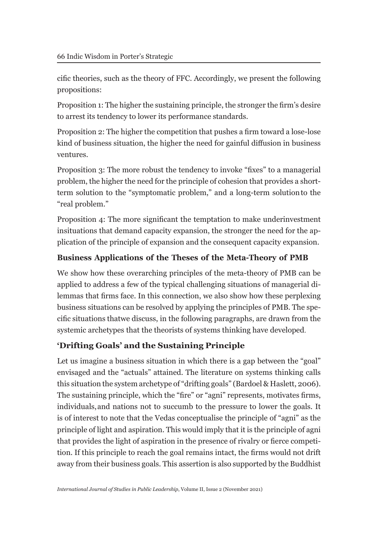cific theories, such as the theory of FFC. Accordingly, we present the following propositions:

Proposition 1: The higher the sustaining principle, the stronger the firm's desire to arrest its tendency to lower its performance standards.

Proposition 2: The higher the competition that pushes a firm toward a lose-lose kind of business situation, the higher the need for gainful diffusion in business ventures.

Proposition 3: The more robust the tendency to invoke "fixes" to a managerial problem, the higher the need for the principle of cohesion that provides a shortterm solution to the "symptomatic problem," and a long-term solution to the "real problem."

Proposition 4: The more significant the temptation to make underinvestment in situations that demand capacity expansion, the stronger the need for the application of the principle of expansion and the consequent capacity expansion.

# **Business Applications of the Theses of the Meta-Theory of PMB**

We show how these overarching principles of the meta-theory of PMB can be applied to address a few of the typical challenging situations of managerial dilemmas that firms face. In this connection, we also show how these perplexing business situations can be resolved by applying the principles of PMB. The specific situations that we discuss, in the following paragraphs, are drawn from the systemic archetypes that the theorists of systems thinking have developed.

# **'Drifting Goals' and the Sustaining Principle**

Let us imagine a business situation in which there is a gap between the "goal" envisaged and the "actuals" attained. The literature on systems thinking calls this situation the system archetype of "drifting goals" (Bardoel & Haslett, 2006). The sustaining principle, which the "fire" or "agni" represents, motivates firms, individuals, and nations not to succumb to the pressure to lower the goals. It is of interest to note that the Vedas conceptualise the principle of "agni" as the principle of light and aspiration. This would imply that it is the principle of agni that provides the light of aspiration in the presence of rivalry or fierce competition. If this principle to reach the goal remains intact, the firms would not drift away from their business goals. This assertion is also supported by the Buddhist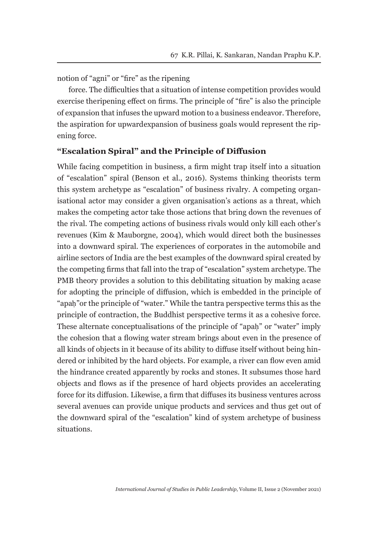notion of "agni" or "fire" as the ripening

force. The difficulties that a situation of intense competition provides would exercise the ripening effect on firms. The principle of "fire" is also the principle of expansion that infuses the upward motion to a business endeavor. Therefore, the aspiration for upward expansion of business goals would represent the ripening force.

#### **"Escalation Spiral" and the Principle of Diffusion**

While facing competition in business, a firm might trap itself into a situation of "escalation" spiral (Benson et al., 2016). Systems thinking theorists term this system archetype as "escalation" of business rivalry. A competing organisational actor may consider a given organisation's actions as a threat, which makes the competing actor take those actions that bring down the revenues of the rival. The competing actions of business rivals would only kill each other's revenues (Kim & Mauborgne, 2004), which would direct both the businesses into a downward spiral. The experiences of corporates in the automobile and airline sectors of India are the best examples of the downward spiral created by the competing firms that fall into the trap of "escalation" system archetype. The PMB theory provides a solution to this debilitating situation by making a case for adopting the principle of diffusion, which is embedded in the principle of "apah" or the principle of "water." While the tantra perspective terms this as the principle of contraction, the Buddhist perspective terms it as a cohesive force. These alternate conceptualisations of the principle of "apaḥ" or "water" imply the cohesion that a flowing water stream brings about even in the presence of all kinds of objects in it because of its ability to diffuse itself without being hindered or inhibited by the hard objects. For example, a river can flow even amid the hindrance created apparently by rocks and stones. It subsumes those hard objects and flows as if the presence of hard objects provides an accelerating force for its diffusion. Likewise, a firm that diffuses its business ventures across several avenues can provide unique products and services and thus get out of the downward spiral of the "escalation" kind of system archetype of business situations.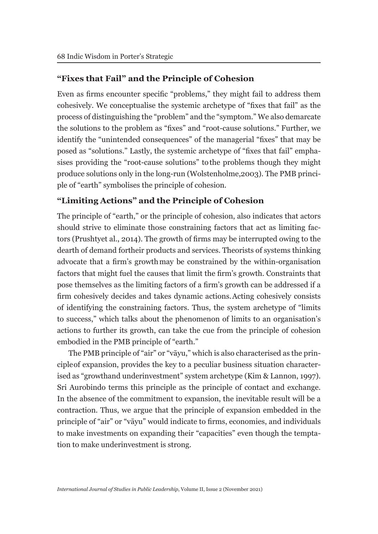### **"Fixes that Fail" and the Principle of Cohesion**

Even as firms encounter specific "problems," they might fail to address them cohesively. We conceptualise the systemic archetype of "fixes that fail" as the process of distinguishing the "problem" and the "symptom." We also demarcate the solutions to the problem as "fixes" and "root-cause solutions." Further, we identify the "unintended consequences" of the managerial "fixes" that may be posed as "solutions." Lastly, the systemic archetype of "fixes that fail" emphasises providing the "root-cause solutions" to the problems though they might produce solutions only in the long-run (Wolstenholme, 2003). The PMB principle of "earth" symbolises the principle of cohesion.

### **"Limiting Actions" and the Principle of Cohesion**

The principle of "earth," or the principle of cohesion, also indicates that actors should strive to eliminate those constraining factors that act as limiting factors (Prushty et al., 2014). The growth of firms may be interrupted owing to the dearth of demand for their products and services. Theorists of systems thinking advocate that a firm's growth may be constrained by the within-organisation factors that might fuel the causes that limit the firm's growth. Constraints that pose themselves as the limiting factors of a firm's growth can be addressed if a firm cohesively decides and takes dynamic actions. Acting cohesively consists of identifying the constraining factors. Thus, the system archetype of "limits to success," which talks about the phenomenon of limits to an organisation's actions to further its growth, can take the cue from the principle of cohesion embodied in the PMB principle of "earth."

The PMB principle of "air" or "vāyu," which is also characterised as the principle of expansion, provides the key to a peculiar business situation characterised as "growth and underinvestment" system archetype (Kim & Lannon, 1997). Sri Aurobindo terms this principle as the principle of contact and exchange. In the absence of the commitment to expansion, the inevitable result will be a contraction. Thus, we argue that the principle of expansion embedded in the principle of "air" or "vāyu" would indicate to firms, economies, and individuals to make investments on expanding their "capacities" even though the temptation to make underinvestment is strong.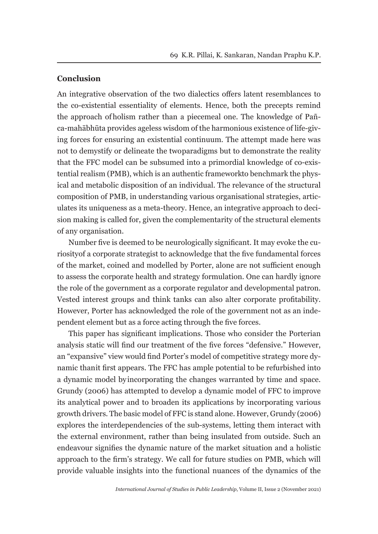#### **Conclusion**

An integrative observation of the two dialectics offers latent resemblances to the co-existential essentiality of elements. Hence, both the precepts remind the approach of holism rather than a piecemeal one. The knowledge of Pañca-mahābhūta provides ageless wisdom of the harmonious existence of life-giving forces for ensuring an existential continuum. The attempt made here was not to demystify or delineate the two paradigms but to demonstrate the reality that the FFC model can be subsumed into a primordial knowledge of co-existential realism (PMB), which is an authentic framework to benchmark the physical and metabolic disposition of an individual. The relevance of the structural composition of PMB, in understanding various organisational strategies, articulates its uniqueness as a meta-theory. Hence, an integrative approach to decision making is called for, given the complementarity of the structural elements of any organisation.

Number five is deemed to be neurologically significant. It may evoke the curiosity of a corporate strategist to acknowledge that the five fundamental forces of the market, coined and modelled by Porter, alone are not sufficient enough to assess the corporate health and strategy formulation. One can hardly ignore the role of the government as a corporate regulator and developmental patron. Vested interest groups and think tanks can also alter corporate profitability. However, Porter has acknowledged the role of the government not as an independent element but as a force acting through the five forces.

This paper has significant implications. Those who consider the Porterian analysis static will find our treatment of the five forces "defensive." However, an "expansive" view would find Porter's model of competitive strategy more dynamic than it first appears. The FFC has ample potential to be refurbished into a dynamic model by incorporating the changes warranted by time and space. Grundy (2006) has attempted to develop a dynamic model of FFC to improve its analytical power and to broaden its applications by incorporating various growth drivers. The basic model of FFC is stand alone. However, Grundy (2006) explores the interdependencies of the sub-systems, letting them interact with the external environment, rather than being insulated from outside. Such an endeavour signifies the dynamic nature of the market situation and a holistic approach to the firm's strategy. We call for future studies on PMB, which will provide valuable insights into the functional nuances of the dynamics of the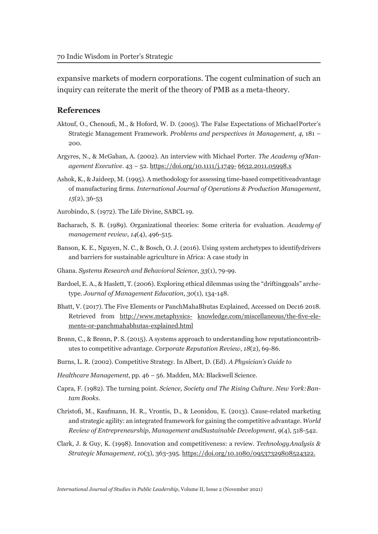expansive markets of modern corporations. The cogent culmination of such an inquiry can reiterate the merit of the theory of PMB as a meta-theory.

#### **References**

- Aktouf, O., Chenoufi, M., & Hoford, W. D. (2005). The False Expectations of Michael Porter's Strategic Management Framework. *Problems and perspectives in Management, 4*, 181 – 200.
- Argyres, N., & McGahan, A. (2002). An interview with Michael Porter. *The Academy of Management Executive*. 43 – 52. https://doi.org/10.1111/j.1749- 6632.2011.05998.x
- Ashok, K., & Jaideep, M. (1995). A methodology for assessing time-based competitive advantage of manufacturing firms. *International Journal of Operations & Production Management*, *15*(2), 36-53
- Aurobindo, S. (1972). The Life Divine, SABCL 19.
- Bacharach, S. B. (1989). Organizational theories: Some criteria for evaluation. *Academy of management review*, *14*(4), 496-515.
- Banson, K. E., Nguyen, N. C., & Bosch, O. J. (2016). Using system archetypes to identify drivers and barriers for sustainable agriculture in Africa: A case study in
- Ghana. *Systems Research and Behavioral Science*, *33*(1), 79-99.
- Bardoel, E. A., & Haslett, T. (2006). Exploring ethical dilemmas using the "drifting goals" archetype. *Journal of Management Education*, *30*(1), 134-148.
- Bhatt, V. (2017). The Five Elements or PanchMahaBhutas Explained, Accessed on Dec16 2018. Retrieved from http://www.metaphysics- knowledge.com/miscellaneous/the-five-elements-or-panchmahabhutas-explained.html
- Brønn, C., & Brønn, P. S. (2015). A systems approach to understanding how reputation contributes to competitive advantage. *Corporate Reputation Review*, *18*(2), 69- 86.
- Burns, L. R. (2002). Competitive Strategy. In Albert, D. (Ed). *A Physician's Guide to*
- *Healthcare Management*, pp. 46 56. Madden, MA: Blackwell Science.
- Capra, F. (1982). The turning point. *Science, Society and The Rising Culture. New York: Bantam Books*.
- Christofi, M., Kaufmann, H. R., Vrontis, D., & Leonidou, E. (2013). Cause-related marketing and strategic agility: an integrated framework for gaining the competitive advantage. *World Review of Entrepreneurship, Management and Sustainable Development*, *9*(4), 518-542.
- Clark, J. & Guy, K. (1998). Innovation and competitiveness: a review. *Technology Analysis & Strategic Management, 10*(3), 363-395. https://doi.org/10.1080/09537329808524322.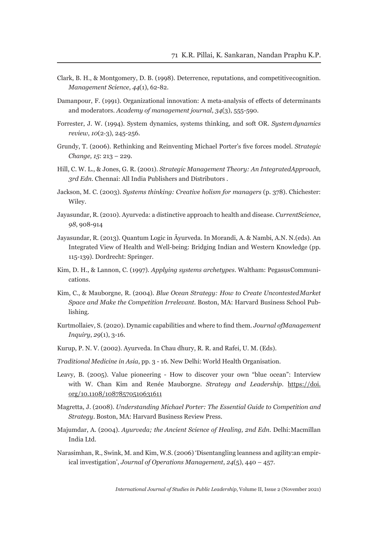- Clark, B. H., & Montgomery, D. B. (1998). Deterrence, reputations, and competitive cognition. *Management Science*, *44*(1), 62-82.
- Damanpour, F. (1991). Organizational innovation: A meta-analysis of effects of determinants and moderators. *Academy of management journal*, *34*(3), 555- 590.
- Forrester, J. W. (1994). System dynamics, systems thinking, and soft OR. *System dynamics review*, *10*(2‐3), 245-256.
- Grundy, T. (2006). Rethinking and Reinventing Michael Porter's five forces model. *Strategic Change, 15*: 213 – 229.
- Hill, C. W. L., & Jones, G. R. (2001). *Strategic Management Theory: An Integrated Approach, 3rd Edn.* Chennai: All India Publishers and Distributors .
- Jackson, M. C. (2003). *Systems thinking: Creative holism for managers* (p. 378). Chichester: Wiley.
- Jayasundar, R. (2010). Ayurveda: a distinctive approach to health and disease. *Current Science*, *98*, 908-914
- Jayasundar, R. (2013). Quantum Logic in Āyurveda. In Morandi, A. & Nambi, A.N. N. (eds). An Integrated View of Health and Well-being: Bridging Indian and Western Knowledge (pp. 115-139). Dordrecht: Springer.
- Kim, D. H., & Lannon, C. (1997). *Applying systems archetypes*. Waltham: Pegasus Communications.
- Kim, C., & Mauborgne, R. (2004). *Blue Ocean Strategy: How to Create Uncontested Market Space and Make the Competition Irrelevant*. Boston, MA: Harvard Business School Publishing.
- Kurtmollaiev, S. (2020). Dynamic capabilities and where to find them. *Journal of Management Inquiry*, *29*(1), 3-16.
- Kurup, P. N. V. (2002). Ayurveda. In Chau dhury, R. R. and Rafei, U. M. (Eds).
- *Traditional Medicine in Asia*, pp. 3 16. New Delhi: World Health Organisation.
- Leavy, B. (2005). Value pioneering How to discover your own "blue ocean": Interview with W. Chan Kim and Renée Mauborgne. *Strategy and Leadership*. https://doi. org/10.1108/10878570510631611
- Magretta, J. (2008). *Understanding Michael Porter: The Essential Guide to Competition and Strategy*. Boston, MA: Harvard Business Review Press.
- Majumdar, A. (2004). *Ayurveda; the Ancient Science of Healing, 2nd Edn.* Delhi: Macmillan India Ltd.
- Narasimhan, R., Swink, M. and Kim, W.S. (2006) 'Disentangling leanness and agility: an empirical investigation', *Journal of Operations Management*, *24*(5), 440 – 457.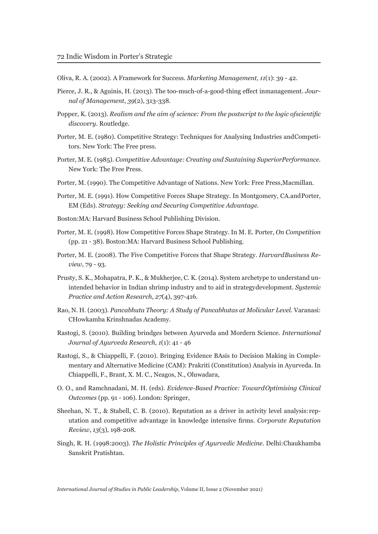Oliva, R. A. (2002). A Framework for Success. *Marketing Management, 11*(1): 39 - 42.

- Pierce, J. R., & Aguinis, H. (2013). The too-much-of-a-good-thing effect in management. *Journal of Management*, *39*(2), 313-338.
- Popper, K. (2013). *Realism and the aim of science: From the postscript to the logic of scientific discovery*. Routledge.
- Porter, M. E. (1980). Competitive Strategy: Techniques for Analysing Industries and Competitors. New York: The Free press.
- Porter, M. E. (1985). *Competitive Advantage: Creating and Sustaining Superior Performance.*  New York: The Free Press.
- Porter, M. (1990). The Competitive Advantage of Nations. New York: Free Press, Macmillan.
- Porter, M. E. (1991). How Competitive Forces Shape Strategy. In Montgomery, CA.and Porter, EM (Eds). *Strategy: Seeking and Securing Competitive Advantage.*
- Boston:MA: Harvard Business School Publishing Division.
- Porter, M. E. (1998). How Competitive Forces Shape Strategy. In M. E. Porter, *On Competition*  (pp. 21 - 38). Boston:MA: Harvard Business School Publishing.
- Porter, M. E. (2008). The Five Competitive Forces that Shape Strategy. *Harvard Business Review*, 79 - 93.
- Prusty, S. K., Mohapatra, P. K., & Mukherjee, C. K. (2014). System archetype to understand unintended behavior in Indian shrimp industry and to aid in strategy development. *Systemic Practice and Action Research*, *27*(4), 397-416.
- Rao, N. H. (2003). *Pancabhuta Theory: A Study of Pancabhutas at Molicular Level.* Varanasi: CHowkamba Krinshnadas Academy.
- Rastogi, S. (2010). Building brindges between Ayurveda and Mordern Science. *International Journal of Ayurveda Research, 1*(1): 41 - 46
- Rastogi, S., & Chiappelli, F. (2010). Bringing Evidence BAsis to Decision Making in Complementary and Alternative Medicine (CAM): Prakriti (Constitution) Analysis in Ayurveda. In Chiappelli, F., Brant, X. M. C., Neagos, N., Oluwadara,
- O. O., and Ramchnadani, M. H. (eds). *Evidence-Based Practice: Toward Optimising Clinical Outcomes* (pp. 91 - 106). London: Springer,
- Sheehan, N. T., & Stabell, C. B. (2010). Reputation as a driver in activity level analysis: reputation and competitive advantage in knowledge intensive firms. *Corporate Reputation Review*, *13*(3), 198-208.
- Singh, R. H. (1998:2003). *The Holistic Principles of Ayurvedic Medicine.* Delhi: Chaukhamba Sanskrit Pratishtan.

*International Journal of Studies in Public Leadership*, Volume II, Issue 2 (November 2021)